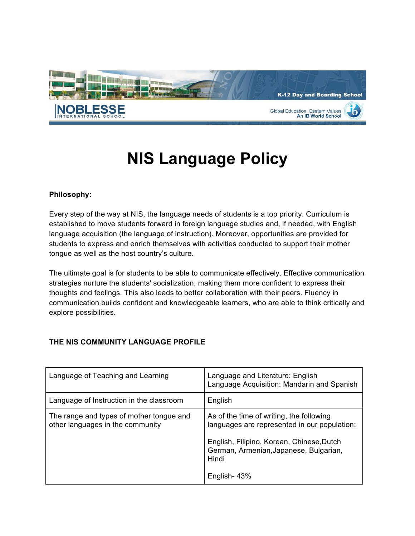

# **NIS Language Policy**

#### **Philosophy:**

Every step of the way at NIS, the language needs of students is a top priority. Curriculum is established to move students forward in foreign language studies and, if needed, with English language acquisition (the language of instruction). Moreover, opportunities are provided for students to express and enrich themselves with activities conducted to support their mother tongue as well as the host country's culture.

The ultimate goal is for students to be able to communicate effectively. Effective communication strategies nurture the students' socialization, making them more confident to express their thoughts and feelings. This also leads to better collaboration with their peers. Fluency in communication builds confident and knowledgeable learners, who are able to think critically and explore possibilities.

## **THE NIS COMMUNITY LANGUAGE PROFILE**

| Language of Teaching and Learning                                            | Language and Literature: English<br>Language Acquisition: Mandarin and Spanish                                                                                                           |
|------------------------------------------------------------------------------|------------------------------------------------------------------------------------------------------------------------------------------------------------------------------------------|
| Language of Instruction in the classroom                                     | English                                                                                                                                                                                  |
| The range and types of mother tongue and<br>other languages in the community | As of the time of writing, the following<br>languages are represented in our population:<br>English, Filipino, Korean, Chinese, Dutch<br>German, Armenian, Japanese, Bulgarian,<br>Hindi |
|                                                                              | English-43%                                                                                                                                                                              |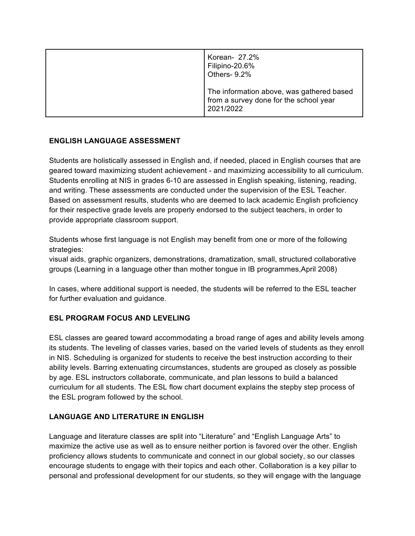| Korean- 27.2%<br>Filipino-20.6%<br>Others- 9.2%                                                  |
|--------------------------------------------------------------------------------------------------|
| The information above, was gathered based<br>from a survey done for the school year<br>2021/2022 |

## **ENGLISH LANGUAGE ASSESSMENT**

Students are holistically assessed in English and, if needed, placed in English courses that are geared toward maximizing student achievement - and maximizing accessibility to all curriculum. Students enrolling at NIS in grades 6-10 are assessed in English speaking, listening, reading, and writing. These assessments are conducted under the supervision of the ESL Teacher. Based on assessment results, students who are deemed to lack academic English proficiency for their respective grade levels are properly endorsed to the subject teachers, in order to provide appropriate classroom support.

Students whose first language is not English may benefit from one or more of the following strategies:

visual aids, graphic organizers, demonstrations, dramatization, small, structured collaborative groups (Learning in a language other than mother tongue in IB programmes,April 2008)

In cases, where additional support is needed, the students will be referred to the ESL teacher for further evaluation and guidance.

## **ESL PROGRAM FOCUS AND LEVELING**

ESL classes are geared toward accommodating a broad range of ages and ability levels among its students. The leveling of classes varies, based on the varied levels of students as they enroll in NIS. Scheduling is organized for students to receive the best instruction according to their ability levels. Barring extenuating circumstances, students are grouped as closely as possible by age. ESL instructors collaborate, communicate, and plan lessons to build a balanced curriculum for all students. The ESL flow chart document explains the stepby step process of the ESL program followed by the school.

## **LANGUAGE AND LITERATURE IN ENGLISH**

Language and literature classes are split into "Literature" and "English Language Arts" to maximize the active use as well as to ensure neither portion is favored over the other. English proficiency allows students to communicate and connect in our global society, so our classes encourage students to engage with their topics and each other. Collaboration is a key pillar to personal and professional development for our students, so they will engage with the language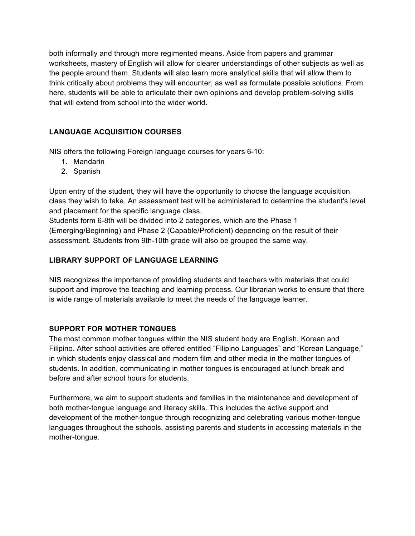both informally and through more regimented means. Aside from papers and grammar worksheets, mastery of English will allow for clearer understandings of other subjects as well as the people around them. Students will also learn more analytical skills that will allow them to think critically about problems they will encounter, as well as formulate possible solutions. From here, students will be able to articulate their own opinions and develop problem-solving skills that will extend from school into the wider world.

# **LANGUAGE ACQUISITION COURSES**

NIS offers the following Foreign language courses for years 6-10:

- 1. Mandarin
- 2. Spanish

Upon entry of the student, they will have the opportunity to choose the language acquisition class they wish to take. An assessment test will be administered to determine the student's level and placement for the specific language class.

Students form 6-8th will be divided into 2 categories, which are the Phase 1 (Emerging/Beginning) and Phase 2 (Capable/Proficient) depending on the result of their assessment. Students from 9th-10th grade will also be grouped the same way.

### **LIBRARY SUPPORT OF LANGUAGE LEARNING**

NIS recognizes the importance of providing students and teachers with materials that could support and improve the teaching and learning process. Our librarian works to ensure that there is wide range of materials available to meet the needs of the language learner.

## **SUPPORT FOR MOTHER TONGUES**

The most common mother tongues within the NIS student body are English, Korean and Filipino. After school activities are offered entitled "Filipino Languages" and "Korean Language," in which students enjoy classical and modern film and other media in the mother tongues of students. In addition, communicating in mother tongues is encouraged at lunch break and before and after school hours for students.

Furthermore, we aim to support students and families in the maintenance and development of both mother-tongue language and literacy skills. This includes the active support and development of the mother-tongue through recognizing and celebrating various mother-tongue languages throughout the schools, assisting parents and students in accessing materials in the mother-tongue.